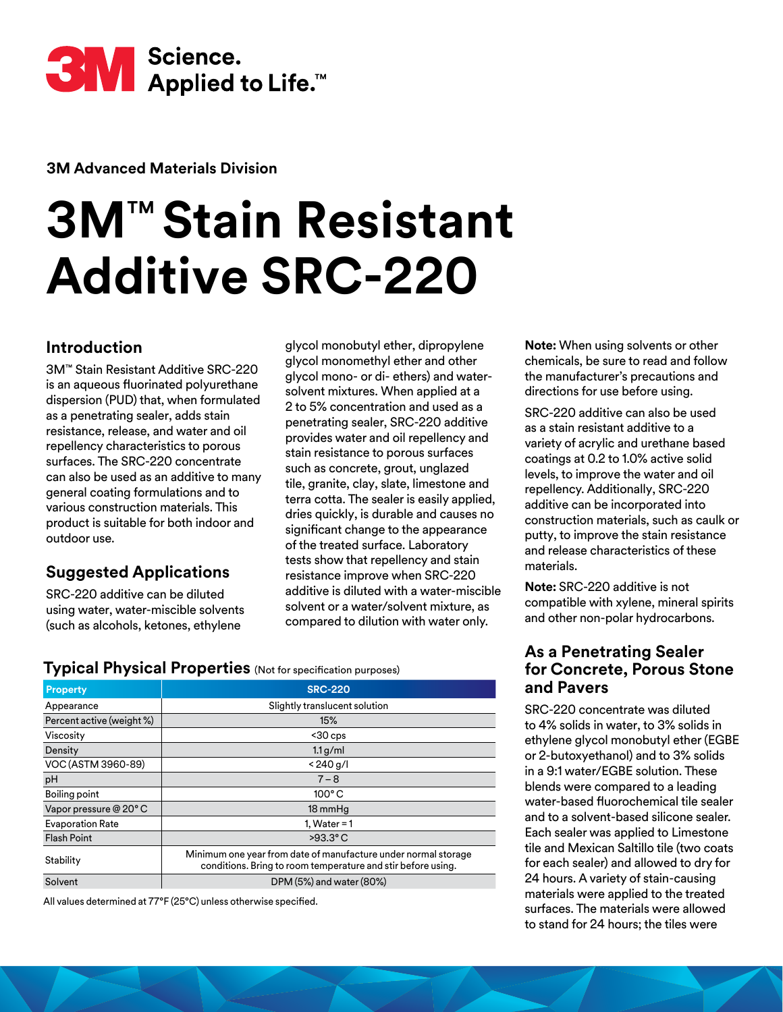

**3M Advanced Materials Division**

# **3M**™ **Stain Resistant Additive SRC-220**

# **Introduction**

3M™ Stain Resistant Additive SRC-220 is an aqueous fluorinated polyurethane dispersion (PUD) that, when formulated as a penetrating sealer, adds stain resistance, release, and water and oil repellency characteristics to porous surfaces. The SRC-220 concentrate can also be used as an additive to many general coating formulations and to various construction materials. This product is suitable for both indoor and outdoor use.

# **Suggested Applications**

SRC-220 additive can be diluted using water, water-miscible solvents (such as alcohols, ketones, ethylene

glycol monobutyl ether, dipropylene glycol monomethyl ether and other glycol mono- or di- ethers) and watersolvent mixtures. When applied at a 2 to 5% concentration and used as a penetrating sealer, SRC-220 additive provides water and oil repellency and stain resistance to porous surfaces such as concrete, grout, unglazed tile, granite, clay, slate, limestone and terra cotta. The sealer is easily applied, dries quickly, is durable and causes no significant change to the appearance of the treated surface. Laboratory tests show that repellency and stain resistance improve when SRC-220 additive is diluted with a water-miscible solvent or a water/solvent mixture, as compared to dilution with water only.

**Typical Physical Properties** (Not for specification purposes)

| <b>Property</b>           | <b>SRC-220</b>                                                                                                                 |  |  |
|---------------------------|--------------------------------------------------------------------------------------------------------------------------------|--|--|
| Appearance                | Slightly translucent solution                                                                                                  |  |  |
| Percent active (weight %) | 15%                                                                                                                            |  |  |
| Viscosity                 | $<$ 30 cps                                                                                                                     |  |  |
| Density                   | 1.1 g/ml                                                                                                                       |  |  |
| VOC (ASTM 3960-89)        | < 240 g/l                                                                                                                      |  |  |
| pH                        | $7 - 8$                                                                                                                        |  |  |
| Boiling point             | $100^{\circ}$ C                                                                                                                |  |  |
| Vapor pressure @ 20° C    | 18 mmHg                                                                                                                        |  |  |
| <b>Evaporation Rate</b>   | 1, Water = $1$                                                                                                                 |  |  |
| <b>Flash Point</b>        | $>93.3$ °C                                                                                                                     |  |  |
| Stability                 | Minimum one year from date of manufacture under normal storage<br>conditions. Bring to room temperature and stir before using. |  |  |
| Solvent                   | DPM (5%) and water (80%)                                                                                                       |  |  |

All values determined at 77°F (25°C) unless otherwise specified.

**Note:** When using solvents or other chemicals, be sure to read and follow the manufacturer's precautions and directions for use before using.

SRC-220 additive can also be used as a stain resistant additive to a variety of acrylic and urethane based coatings at 0.2 to 1.0% active solid levels, to improve the water and oil repellency. Additionally, SRC-220 additive can be incorporated into construction materials, such as caulk or putty, to improve the stain resistance and release characteristics of these materials.

**Note:** SRC-220 additive is not compatible with xylene, mineral spirits and other non-polar hydrocarbons.

## **As a Penetrating Sealer for Concrete, Porous Stone and Pavers**

SRC-220 concentrate was diluted to 4% solids in water, to 3% solids in ethylene glycol monobutyl ether (EGBE or 2-butoxyethanol) and to 3% solids in a 9:1 water/EGBE solution. These blends were compared to a leading water-based fluorochemical tile sealer and to a solvent-based silicone sealer. Each sealer was applied to Limestone tile and Mexican Saltillo tile (two coats for each sealer) and allowed to dry for 24 hours. A variety of stain-causing materials were applied to the treated surfaces. The materials were allowed to stand for 24 hours; the tiles were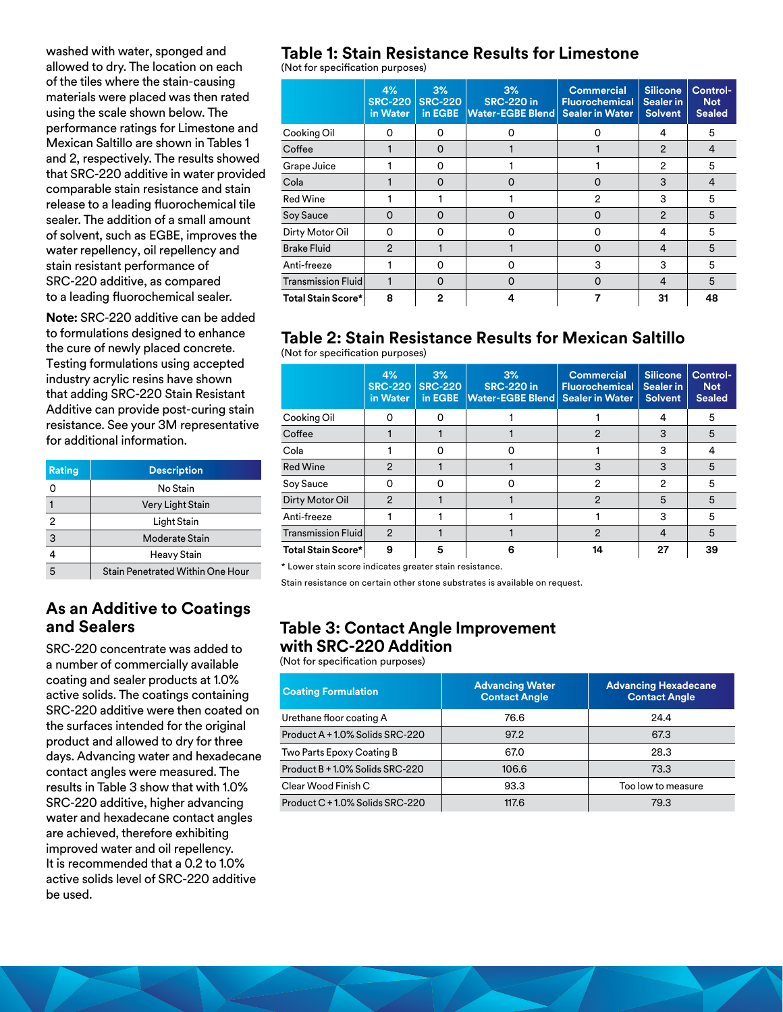washed with water, sponged and allowed to dry. The location on each of the tiles where the stain-causing materials were placed was then rated using the scale shown below. The performance ratings for Limestone and Mexican Saltillo are shown in Tables 1 and 2, respectively. The results showed that SRC-220 additive in water provided comparable stain resistance and stain release to a leading fluorochemical tile sealer. The addition of a small amount of solvent, such as EGBE, improves the water repellency, oil repellency and stain resistant performance of SRC-220 additive, as compared to a leading fluorochemical sealer.

**Note:** SRC-220 additive can be added to formulations designed to enhance the cure of newly placed concrete. Testing formulations using accepted industry acrylic resins have shown that adding SRC-220 Stain Resistant Additive can provide post-curing stain resistance. See your 3M representative for additional information.

| Rating         | <b>Description</b>               |
|----------------|----------------------------------|
| ი              | No Stain                         |
|                | Very Light Stain                 |
| $\overline{2}$ | Light Stain                      |
| 3              | Moderate Stain                   |
| 4              | Heavy Stain                      |
| 5              | Stain Penetrated Within One Hour |

### **As an Additive to Coatings and Sealers**

SRC-220 concentrate was added to a number of commercially available coating and sealer products at 1.0% active solids. The coatings containing SRC-220 additive were then coated on the surfaces intended for the original product and allowed to dry for three days. Advancing water and hexadecane contact angles were measured. The results in Table 3 show that with 1.0% SRC-220 additive, higher advancing water and hexadecane contact angles are achieved, therefore exhibiting improved water and oil repellency. It is recommended that a 0.2 to 1.0% active solids level of SRC-220 additive be used.

# **Table 1: Stain Resistance Results for Limestone**

(Not for specification purposes)

|                           | 4%<br><b>SRC-220</b><br>in Water | 3%<br><b>SRC-220</b><br>in EGBE | 3%<br><b>SRC-220 in</b><br><b>Water-EGBE Blend</b> | <b>Commercial</b><br><b>Fluorochemical</b><br><b>Sealer in Water</b> | <b>Silicone</b><br>Sealer in<br><b>Solvent</b> | Control-<br><b>Not</b><br><b>Sealed</b> |
|---------------------------|----------------------------------|---------------------------------|----------------------------------------------------|----------------------------------------------------------------------|------------------------------------------------|-----------------------------------------|
| Cooking Oil               | 0                                | 0                               | 0                                                  |                                                                      | 4                                              | 5                                       |
| Coffee                    |                                  | $\Omega$                        |                                                    |                                                                      | $\overline{2}$                                 | 4                                       |
| Grape Juice               |                                  | $\Omega$                        |                                                    |                                                                      | $\overline{2}$                                 | 5                                       |
| Cola                      |                                  | $\Omega$                        | O                                                  | O                                                                    | 3                                              | 4                                       |
| <b>Red Wine</b>           |                                  |                                 |                                                    | 2                                                                    | 3                                              | 5                                       |
| Soy Sauce                 | $\Omega$                         | $\Omega$                        | O                                                  | O                                                                    | $\mathfrak{p}$                                 | 5                                       |
| Dirty Motor Oil           | 0                                | O                               | 0                                                  | 0                                                                    | 4                                              | 5                                       |
| <b>Brake Fluid</b>        | $\mathcal{P}$                    |                                 |                                                    | Ω                                                                    | 4                                              | 5                                       |
| Anti-freeze               |                                  | 0                               | 0                                                  | 3                                                                    | 3                                              | 5                                       |
| Transmission Fluid        |                                  | $\Omega$                        | $\Omega$                                           | O                                                                    | 4                                              | 5                                       |
| <b>Total Stain Score*</b> | 8                                | $\mathbf{2}$                    | 4                                                  |                                                                      | 31                                             | 48                                      |

#### **Table 2: Stain Resistance Results for Mexican Saltillo**  (Not for specification purposes)

|                           | 4%<br><b>SRC-220</b><br>in Water | 3%<br><b>SRC-220</b><br>in EGBE | 3%<br><b>SRC-220 in</b><br><b>Water-EGBE Blend</b> | <b>Commercial</b><br><b>Fluorochemical</b><br><b>Sealer in Water</b> | <b>Silicone</b><br><b>Sealer in</b><br><b>Solvent</b> | Control-<br><b>Not</b><br><b>Sealed</b> |
|---------------------------|----------------------------------|---------------------------------|----------------------------------------------------|----------------------------------------------------------------------|-------------------------------------------------------|-----------------------------------------|
| Cooking Oil               | O                                |                                 |                                                    |                                                                      | 4                                                     | 5                                       |
| Coffee                    |                                  |                                 |                                                    | 2                                                                    | 3                                                     | 5                                       |
| Cola                      |                                  | O                               | ი                                                  |                                                                      | 3                                                     | 4                                       |
| <b>Red Wine</b>           | $\overline{2}$                   |                                 |                                                    | 3                                                                    | 3                                                     | 5                                       |
| Soy Sauce                 | 0                                | O                               | O                                                  | 2                                                                    | $\overline{2}$                                        | 5                                       |
| Dirty Motor Oil           | $\mathfrak{p}$                   |                                 |                                                    | 2                                                                    | 5                                                     | 5                                       |
| Anti-freeze               |                                  |                                 |                                                    |                                                                      | 3                                                     | 5                                       |
| Transmission Fluid        | $\overline{2}$                   |                                 |                                                    | 2                                                                    | 4                                                     | 5                                       |
| <b>Total Stain Score*</b> | 9                                | 5                               | 6                                                  | 14                                                                   | 27                                                    | 39                                      |

\* Lower stain score indicates greater stain resistance.

Stain resistance on certain other stone substrates is available on request.

## **Table 3: Contact Angle Improvement with SRC-220 Addition**

(Not for specification purposes)

| <b>Coating Formulation</b>      | <b>Advancing Water</b><br><b>Contact Angle</b> | <b>Advancing Hexadecane</b><br><b>Contact Angle</b> |
|---------------------------------|------------------------------------------------|-----------------------------------------------------|
| Urethane floor coating A        | 76.6                                           | 24.4                                                |
| Product A + 1.0% Solids SRC-220 | 97.2                                           | 67.3                                                |
| Two Parts Epoxy Coating B       | 67.0                                           | 28.3                                                |
| Product B + 1.0% Solids SRC-220 | 106.6                                          | 73.3                                                |
| Clear Wood Finish C             | 93.3                                           | Too low to measure                                  |
| Product C + 1.0% Solids SRC-220 | 117.6                                          | 79.3                                                |